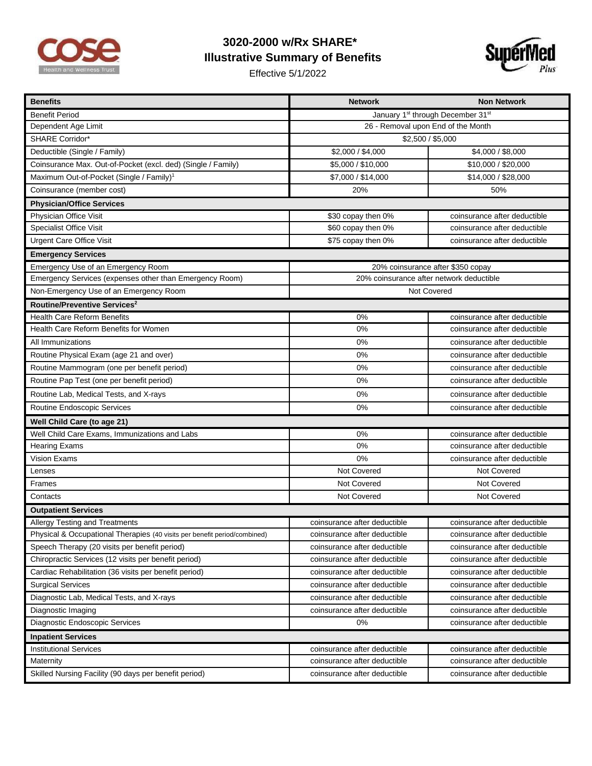

## **3020-2000 w/Rx SHARE\* Illustrative Summary of Benefits**

Effective 5/1/2022



| <b>Benefits</b>                                                           | <b>Network</b>                           | <b>Non Network</b>           |
|---------------------------------------------------------------------------|------------------------------------------|------------------------------|
| <b>Benefit Period</b>                                                     | January 1st through December 31st        |                              |
| Dependent Age Limit                                                       | 26 - Removal upon End of the Month       |                              |
| <b>SHARE Corridor*</b>                                                    | \$2,500 / \$5,000                        |                              |
| Deductible (Single / Family)                                              | \$2,000 / \$4,000                        | \$4,000 / \$8,000            |
| Coinsurance Max. Out-of-Pocket (excl. ded) (Single / Family)              | \$5,000 / \$10,000                       | \$10,000 / \$20,000          |
| Maximum Out-of-Pocket (Single / Family) <sup>1</sup>                      | \$7,000 / \$14,000                       | \$14,000 / \$28,000          |
| Coinsurance (member cost)                                                 | 20%                                      | 50%                          |
| <b>Physician/Office Services</b>                                          |                                          |                              |
| Physician Office Visit                                                    | \$30 copay then 0%                       | coinsurance after deductible |
| <b>Specialist Office Visit</b>                                            | \$60 copay then 0%                       | coinsurance after deductible |
| <b>Urgent Care Office Visit</b>                                           | \$75 copay then 0%                       | coinsurance after deductible |
| <b>Emergency Services</b>                                                 |                                          |                              |
| Emergency Use of an Emergency Room                                        | 20% coinsurance after \$350 copay        |                              |
| Emergency Services (expenses other than Emergency Room)                   | 20% coinsurance after network deductible |                              |
| Non-Emergency Use of an Emergency Room                                    | Not Covered                              |                              |
| Routine/Preventive Services <sup>2</sup>                                  |                                          |                              |
| <b>Health Care Reform Benefits</b>                                        | 0%                                       | coinsurance after deductible |
| Health Care Reform Benefits for Women                                     | 0%                                       | coinsurance after deductible |
| All Immunizations                                                         | 0%                                       | coinsurance after deductible |
| Routine Physical Exam (age 21 and over)                                   | 0%                                       | coinsurance after deductible |
| Routine Mammogram (one per benefit period)                                | 0%                                       | coinsurance after deductible |
| Routine Pap Test (one per benefit period)                                 | 0%                                       | coinsurance after deductible |
| Routine Lab, Medical Tests, and X-rays                                    | 0%                                       | coinsurance after deductible |
| Routine Endoscopic Services                                               | 0%                                       | coinsurance after deductible |
| Well Child Care (to age 21)                                               |                                          |                              |
| Well Child Care Exams, Immunizations and Labs                             | 0%                                       | coinsurance after deductible |
| <b>Hearing Exams</b>                                                      | 0%                                       | coinsurance after deductible |
| Vision Exams                                                              | 0%                                       | coinsurance after deductible |
| Lenses                                                                    | Not Covered                              | Not Covered                  |
| Frames                                                                    | Not Covered                              | Not Covered                  |
| Contacts                                                                  | Not Covered                              | Not Covered                  |
| <b>Outpatient Services</b>                                                |                                          |                              |
| Allergy Testing and Treatments                                            | coinsurance after deductible             | coinsurance after deductible |
| Physical & Occupational Therapies (40 visits per benefit period/combined) | coinsurance after deductible             | coinsurance after deductible |
| Speech Therapy (20 visits per benefit period)                             | coinsurance after deductible             | coinsurance after deductible |
| Chiropractic Services (12 visits per benefit period)                      | coinsurance after deductible             | coinsurance after deductible |
| Cardiac Rehabilitation (36 visits per benefit period)                     | coinsurance after deductible             | coinsurance after deductible |
| <b>Surgical Services</b>                                                  | coinsurance after deductible             | coinsurance after deductible |
| Diagnostic Lab, Medical Tests, and X-rays                                 | coinsurance after deductible             | coinsurance after deductible |
| Diagnostic Imaging                                                        | coinsurance after deductible             | coinsurance after deductible |
| Diagnostic Endoscopic Services                                            | 0%                                       | coinsurance after deductible |
| <b>Inpatient Services</b>                                                 |                                          |                              |
| <b>Institutional Services</b>                                             | coinsurance after deductible             | coinsurance after deductible |
| Maternity                                                                 | coinsurance after deductible             | coinsurance after deductible |
| Skilled Nursing Facility (90 days per benefit period)                     | coinsurance after deductible             | coinsurance after deductible |